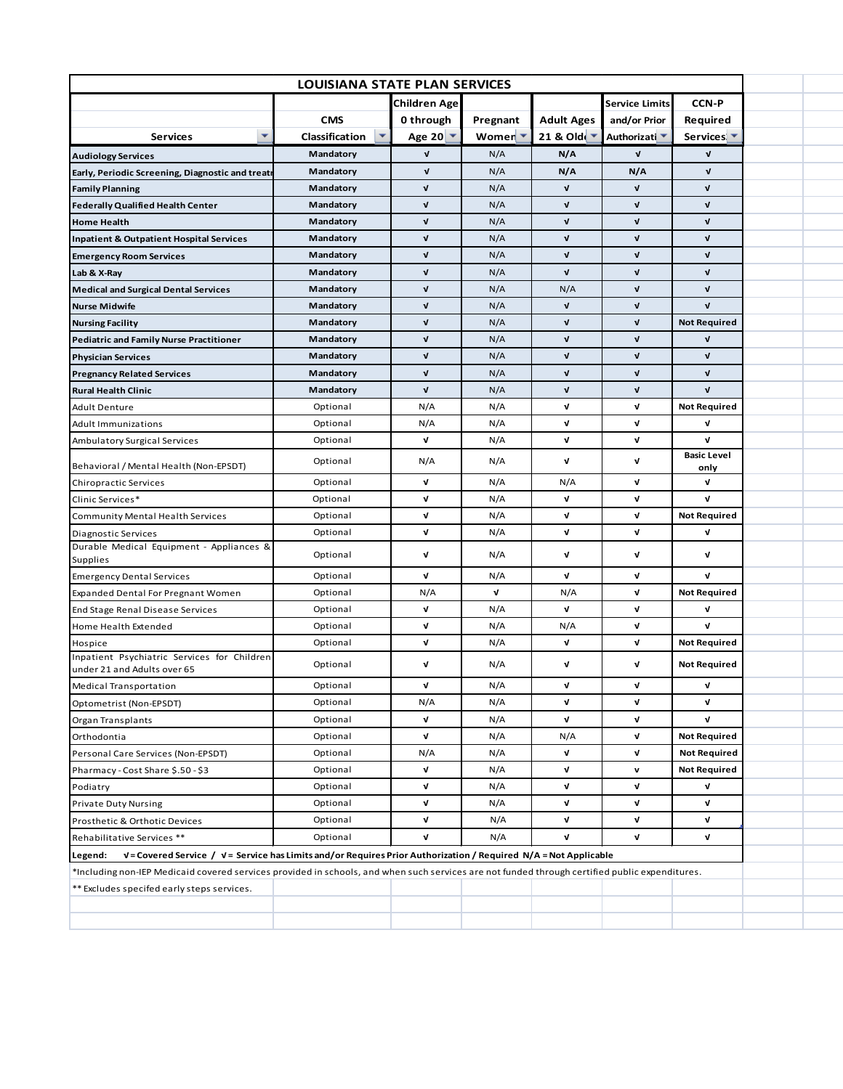| LOUISIANA STATE PLAN SERVICES                                                                                                                  |                            |                        |                    |                               |                          |                            |  |  |  |  |  |
|------------------------------------------------------------------------------------------------------------------------------------------------|----------------------------|------------------------|--------------------|-------------------------------|--------------------------|----------------------------|--|--|--|--|--|
|                                                                                                                                                |                            | <b>Children Age</b>    |                    |                               | <b>Service Limits</b>    | <b>CCN-P</b>               |  |  |  |  |  |
|                                                                                                                                                | <b>CMS</b>                 | 0 through              | Pregnant           | <b>Adult Ages</b>             | and/or Prior             | Required                   |  |  |  |  |  |
| ٠<br><b>Services</b>                                                                                                                           | ٠<br><b>Classification</b> | Age 20 $\triangledown$ | Women <sup>-</sup> | 21 & Old $\sqrt{\phantom{a}}$ | Authorizati <sup>v</sup> | Services <sup>+</sup>      |  |  |  |  |  |
| <b>Audiology Services</b>                                                                                                                      | Mandatory                  | V                      | N/A                | N/A                           | $\mathbf v$              | V                          |  |  |  |  |  |
| Early, Periodic Screening, Diagnostic and treatr                                                                                               | Mandatory                  | $\mathbf{v}$           | N/A                | N/A                           | N/A                      | V                          |  |  |  |  |  |
| <b>Family Planning</b>                                                                                                                         | Mandatory                  | V                      | N/A                | ν                             | V                        | V                          |  |  |  |  |  |
| <b>Federally Qualified Health Center</b>                                                                                                       | Mandatory                  | Λ                      | N/A                | ν                             | V                        | Λ                          |  |  |  |  |  |
| <b>Home Health</b>                                                                                                                             | Mandatory                  | V                      | N/A                | V                             | V                        | V                          |  |  |  |  |  |
| <b>Inpatient &amp; Outpatient Hospital Services</b>                                                                                            | Mandatory                  | $\mathbf v$            | N/A                | $\mathbf v$                   | V                        | V                          |  |  |  |  |  |
| <b>Emergency Room Services</b>                                                                                                                 | Mandatory                  | $\mathbf v$            | N/A                | $\mathbf v$                   | V                        | V                          |  |  |  |  |  |
| Lab & X-Ray                                                                                                                                    | Mandatory                  | $\mathbf v$            | N/A                | $\mathbf v$                   | V                        | V                          |  |  |  |  |  |
| <b>Medical and Surgical Dental Services</b>                                                                                                    | Mandatory                  | $\mathbf v$            | N/A                | N/A                           | V                        | V                          |  |  |  |  |  |
| <b>Nurse Midwife</b>                                                                                                                           | Mandatory                  | $\mathbf v$            | N/A                | $\mathbf v$                   | V                        | $\mathbf v$                |  |  |  |  |  |
| <b>Nursing Facility</b>                                                                                                                        | Mandatory                  | V                      | N/A                | ν                             | V                        | <b>Not Required</b>        |  |  |  |  |  |
| <b>Pediatric and Family Nurse Practitioner</b>                                                                                                 | Mandatory                  | V                      | N/A                | ν                             | V                        | Λ                          |  |  |  |  |  |
| <b>Physician Services</b>                                                                                                                      | Mandatory                  | $\mathbf v$            | N/A                | $\mathbf{v}$                  | V                        | $\mathbf v$                |  |  |  |  |  |
| <b>Pregnancy Related Services</b>                                                                                                              | Mandatory                  | $\mathbf v$            | N/A                | $\mathbf v$                   | V                        | V                          |  |  |  |  |  |
| <b>Rural Health Clinic</b>                                                                                                                     | Mandatory                  | Λ                      | N/A                | $\mathbf v$                   | V                        | $\mathbf v$                |  |  |  |  |  |
| <b>Adult Denture</b>                                                                                                                           | Optional                   | N/A                    | N/A                | V                             | V                        | <b>Not Required</b>        |  |  |  |  |  |
| Adult Immunizations                                                                                                                            | Optional                   | N/A                    | N/A                | V                             | V                        | Λ                          |  |  |  |  |  |
| Ambulatory Surgical Services                                                                                                                   | Optional                   | V                      | N/A                | v                             | V                        | V                          |  |  |  |  |  |
| Behavioral / Mental Health (Non-EPSDT)                                                                                                         | Optional                   | N/A                    | N/A                | $\mathbf v$                   | V                        | <b>Basic Level</b><br>only |  |  |  |  |  |
| Chiropractic Services                                                                                                                          | Optional                   | v                      | N/A                | N/A                           | V                        | V                          |  |  |  |  |  |
| Clinic Services*                                                                                                                               | Optional                   | V                      | N/A                | V                             | V                        | V                          |  |  |  |  |  |
| <b>Community Mental Health Services</b>                                                                                                        | Optional                   | V                      | N/A                | V                             | V                        | <b>Not Required</b>        |  |  |  |  |  |
| Diagnostic Services                                                                                                                            | Optional                   | v                      | N/A                | v                             | V                        | V                          |  |  |  |  |  |
| Durable Medical Equipment - Appliances &<br>Supplies                                                                                           | Optional                   | V                      | N/A                | V                             | V                        | V                          |  |  |  |  |  |
| <b>Emergency Dental Services</b>                                                                                                               | Optional                   | V                      | N/A                | Λ                             | V                        | V                          |  |  |  |  |  |
| <b>Expanded Dental For Pregnant Women</b>                                                                                                      | Optional                   | N/A                    | V                  | N/A                           | V                        | <b>Not Required</b>        |  |  |  |  |  |
| End Stage Renal Disease Services                                                                                                               | Optional                   | v                      | N/A                | v                             | V                        | V                          |  |  |  |  |  |
| Home Health Extended                                                                                                                           | Optional                   | ν                      | N/A                | N/A                           | V                        | Λ                          |  |  |  |  |  |
| Hospice                                                                                                                                        | Optional                   | ν                      | N/A                | V                             | V                        | <b>Not Required</b>        |  |  |  |  |  |
| Inpatient Psychiatric Services for Children<br>under 21 and Adults over 65                                                                     | Optional                   | ν                      | N/A                | v                             | V                        | <b>Not Required</b>        |  |  |  |  |  |
| <b>Medical Transportation</b>                                                                                                                  | Optional                   | V                      | N/A                | ν                             | V                        |                            |  |  |  |  |  |
| Optometrist (Non-EPSDT)                                                                                                                        | Optional                   | N/A                    | N/A                | V                             | V                        | V                          |  |  |  |  |  |
| Organ Transplants                                                                                                                              | Optional                   | V                      | N/A                | V                             | V                        | V                          |  |  |  |  |  |
| Orthodontia                                                                                                                                    | Optional                   | V                      | N/A                | N/A                           | V                        | <b>Not Required</b>        |  |  |  |  |  |
| Personal Care Services (Non-EPSDT)                                                                                                             | Optional                   | N/A                    | N/A                | V                             | V                        | <b>Not Required</b>        |  |  |  |  |  |
| Pharmacy - Cost Share \$.50 - \$3                                                                                                              | Optional                   | V                      | N/A                | v                             | v                        | <b>Not Required</b>        |  |  |  |  |  |
| Podiatry                                                                                                                                       | Optional                   | V                      | N/A                | v                             | V                        | V                          |  |  |  |  |  |
| <b>Private Duty Nursing</b>                                                                                                                    | Optional                   | v                      | N/A                | V                             | V                        | V                          |  |  |  |  |  |
| Prosthetic & Orthotic Devices                                                                                                                  | Optional                   | V                      | N/A                | V                             | V                        | V                          |  |  |  |  |  |
| Rehabilitative Services **                                                                                                                     | Optional                   | V                      | N/A                | V                             | V                        | V                          |  |  |  |  |  |
| V = Covered Service / V = Service has Limits and/or Requires Prior Authorization / Required N/A = Not Applicable<br>Legend:                    |                            |                        |                    |                               |                          |                            |  |  |  |  |  |
| *Including non-IEP Medicaid covered services provided in schools, and when such services are not funded through certified public expenditures. |                            |                        |                    |                               |                          |                            |  |  |  |  |  |
| ** Excludes specifed early steps services.                                                                                                     |                            |                        |                    |                               |                          |                            |  |  |  |  |  |
|                                                                                                                                                |                            |                        |                    |                               |                          |                            |  |  |  |  |  |
|                                                                                                                                                |                            |                        |                    |                               |                          |                            |  |  |  |  |  |